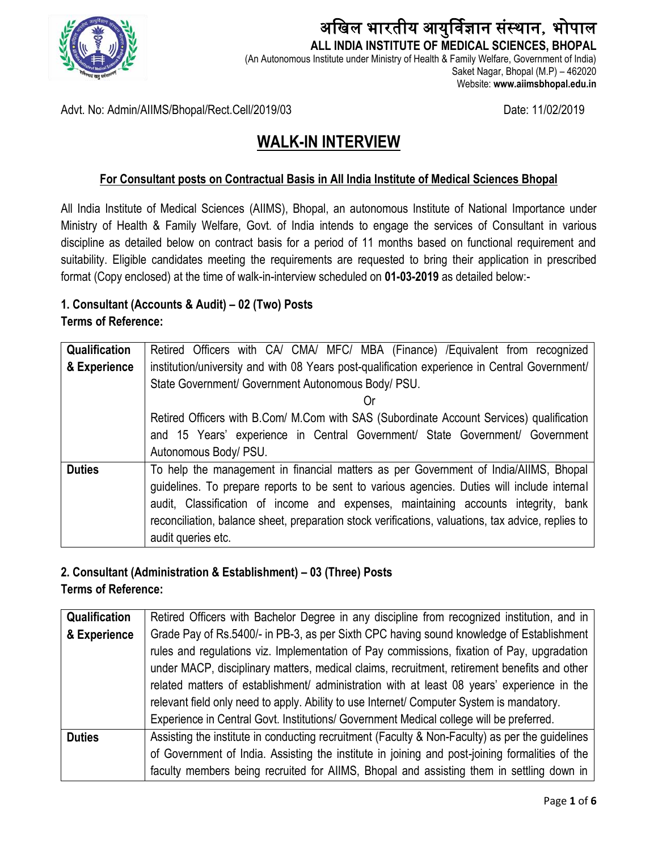

### अखिल भारतीय आयुर्विज्ञान संस्थान, भोपाल  **ALL INDIA INSTITUTE OF MEDICAL SCIENCES, BHOPAL**

(An Autonomous Institute under Ministry of Health & Family Welfare, Government of India) Saket Nagar, Bhopal (M.P) – 462020 Website: **www.aiimsbhopal.edu.in**

Advt. No: Admin/AIIMS/Bhopal/Rect.Cell/2019/03 Date: 11/02/2019

## **WALK-IN INTERVIEW**

#### **For Consultant posts on Contractual Basis in All India Institute of Medical Sciences Bhopal**

All India Institute of Medical Sciences (AIIMS), Bhopal, an autonomous Institute of National Importance under Ministry of Health & Family Welfare, Govt. of India intends to engage the services of Consultant in various discipline as detailed below on contract basis for a period of 11 months based on functional requirement and suitability. Eligible candidates meeting the requirements are requested to bring their application in prescribed format (Copy enclosed) at the time of walk-in-interview scheduled on **01-03-2019** as detailed below:-

# **1. Consultant (Accounts & Audit) – 02 (Two) Posts**

**Terms of Reference:**

| <b>Qualification</b> | Retired Officers with CA/ CMA/ MFC/ MBA (Finance) / Equivalent from recognized                     |  |  |  |  |
|----------------------|----------------------------------------------------------------------------------------------------|--|--|--|--|
| & Experience         | institution/university and with 08 Years post-qualification experience in Central Government/      |  |  |  |  |
|                      | State Government/ Government Autonomous Body/ PSU.                                                 |  |  |  |  |
|                      |                                                                                                    |  |  |  |  |
|                      | Retired Officers with B.Com/ M.Com with SAS (Subordinate Account Services) qualification           |  |  |  |  |
|                      | and 15 Years' experience in Central Government/ State Government/ Government                       |  |  |  |  |
|                      | Autonomous Body/ PSU.                                                                              |  |  |  |  |
| <b>Duties</b>        | To help the management in financial matters as per Government of India/AIIMS, Bhopal               |  |  |  |  |
|                      | guidelines. To prepare reports to be sent to various agencies. Duties will include internal        |  |  |  |  |
|                      | audit, Classification of income and expenses, maintaining accounts integrity, bank                 |  |  |  |  |
|                      | reconciliation, balance sheet, preparation stock verifications, valuations, tax advice, replies to |  |  |  |  |
|                      | audit queries etc.                                                                                 |  |  |  |  |

#### **2. Consultant (Administration & Establishment) – 03 (Three) Posts**

**Terms of Reference:**

| <b>Qualification</b> | Retired Officers with Bachelor Degree in any discipline from recognized institution, and in     |  |  |  |
|----------------------|-------------------------------------------------------------------------------------------------|--|--|--|
| & Experience         | Grade Pay of Rs.5400/- in PB-3, as per Sixth CPC having sound knowledge of Establishment        |  |  |  |
|                      | rules and regulations viz. Implementation of Pay commissions, fixation of Pay, upgradation      |  |  |  |
|                      | under MACP, disciplinary matters, medical claims, recruitment, retirement benefits and other    |  |  |  |
|                      | related matters of establishment/ administration with at least 08 years' experience in the      |  |  |  |
|                      | relevant field only need to apply. Ability to use Internet/ Computer System is mandatory.       |  |  |  |
|                      | Experience in Central Govt. Institutions/ Government Medical college will be preferred.         |  |  |  |
| <b>Duties</b>        | Assisting the institute in conducting recruitment (Faculty & Non-Faculty) as per the guidelines |  |  |  |
|                      | of Government of India. Assisting the institute in joining and post-joining formalities of the  |  |  |  |
|                      | faculty members being recruited for AIIMS, Bhopal and assisting them in settling down in        |  |  |  |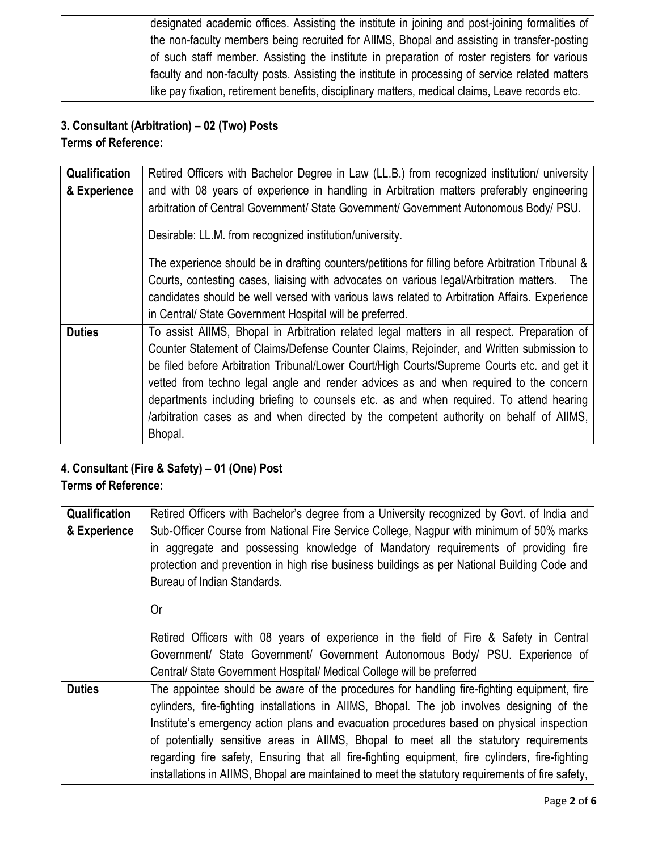| designated academic offices. Assisting the institute in joining and post-joining formalities of  |
|--------------------------------------------------------------------------------------------------|
| the non-faculty members being recruited for AIIMS, Bhopal and assisting in transfer-posting      |
| of such staff member. Assisting the institute in preparation of roster registers for various     |
| faculty and non-faculty posts. Assisting the institute in processing of service related matters  |
| like pay fixation, retirement benefits, disciplinary matters, medical claims, Leave records etc. |

## **3. Consultant (Arbitration) – 02 (Two) Posts**

**Terms of Reference:**

| <b>Qualification</b> | Retired Officers with Bachelor Degree in Law (LL.B.) from recognized institution/ university      |  |  |  |  |
|----------------------|---------------------------------------------------------------------------------------------------|--|--|--|--|
| & Experience         | and with 08 years of experience in handling in Arbitration matters preferably engineering         |  |  |  |  |
|                      | arbitration of Central Government/ State Government/ Government Autonomous Body/ PSU.             |  |  |  |  |
|                      | Desirable: LL.M. from recognized institution/university.                                          |  |  |  |  |
|                      | The experience should be in drafting counters/petitions for filling before Arbitration Tribunal & |  |  |  |  |
|                      | Courts, contesting cases, liaising with advocates on various legal/Arbitration matters. The       |  |  |  |  |
|                      | candidates should be well versed with various laws related to Arbitration Affairs. Experience     |  |  |  |  |
|                      | in Central/ State Government Hospital will be preferred.                                          |  |  |  |  |
| <b>Duties</b>        | To assist AIIMS, Bhopal in Arbitration related legal matters in all respect. Preparation of       |  |  |  |  |
|                      | Counter Statement of Claims/Defense Counter Claims, Rejoinder, and Written submission to          |  |  |  |  |
|                      | be filed before Arbitration Tribunal/Lower Court/High Courts/Supreme Courts etc. and get it       |  |  |  |  |
|                      | vetted from techno legal angle and render advices as and when required to the concern             |  |  |  |  |
|                      | departments including briefing to counsels etc. as and when required. To attend hearing           |  |  |  |  |
|                      | /arbitration cases as and when directed by the competent authority on behalf of AlIMS,            |  |  |  |  |
|                      | Bhopal.                                                                                           |  |  |  |  |

## **4. Consultant (Fire & Safety) – 01 (One) Post**

## **Terms of Reference:**

| Qualification | Retired Officers with Bachelor's degree from a University recognized by Govt. of India and                                                                                                                      |  |  |  |  |
|---------------|-----------------------------------------------------------------------------------------------------------------------------------------------------------------------------------------------------------------|--|--|--|--|
| & Experience  | Sub-Officer Course from National Fire Service College, Nagpur with minimum of 50% marks                                                                                                                         |  |  |  |  |
|               | in aggregate and possessing knowledge of Mandatory requirements of providing fire<br>protection and prevention in high rise business buildings as per National Building Code and<br>Bureau of Indian Standards. |  |  |  |  |
|               | 0r                                                                                                                                                                                                              |  |  |  |  |
|               | Retired Officers with 08 years of experience in the field of Fire & Safety in Central                                                                                                                           |  |  |  |  |
|               | Government/ State Government/ Government Autonomous Body/ PSU. Experience of                                                                                                                                    |  |  |  |  |
|               | Central/ State Government Hospital/ Medical College will be preferred                                                                                                                                           |  |  |  |  |
| <b>Duties</b> | The appointee should be aware of the procedures for handling fire-fighting equipment, fire                                                                                                                      |  |  |  |  |
|               | cylinders, fire-fighting installations in AIIMS, Bhopal. The job involves designing of the                                                                                                                      |  |  |  |  |
|               | Institute's emergency action plans and evacuation procedures based on physical inspection                                                                                                                       |  |  |  |  |
|               | of potentially sensitive areas in AIIMS, Bhopal to meet all the statutory requirements                                                                                                                          |  |  |  |  |
|               | regarding fire safety, Ensuring that all fire-fighting equipment, fire cylinders, fire-fighting                                                                                                                 |  |  |  |  |
|               | installations in AIIMS, Bhopal are maintained to meet the statutory requirements of fire safety,                                                                                                                |  |  |  |  |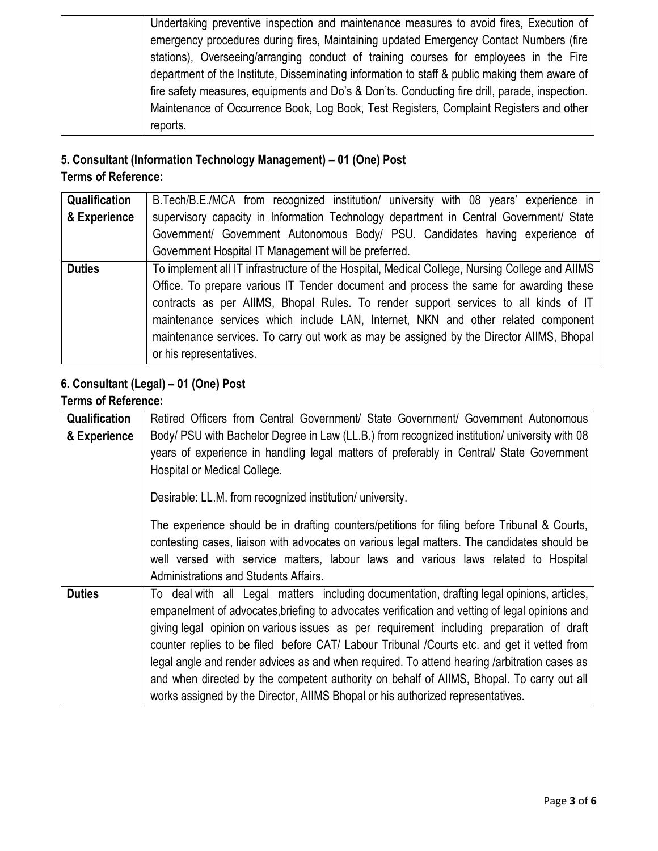| Undertaking preventive inspection and maintenance measures to avoid fires, Execution of        |
|------------------------------------------------------------------------------------------------|
| emergency procedures during fires, Maintaining updated Emergency Contact Numbers (fire         |
| stations), Overseeing/arranging conduct of training courses for employees in the Fire          |
| department of the Institute, Disseminating information to staff & public making them aware of  |
| fire safety measures, equipments and Do's & Don'ts. Conducting fire drill, parade, inspection. |
| Maintenance of Occurrence Book, Log Book, Test Registers, Complaint Registers and other        |
| reports.                                                                                       |

## **5. Consultant (Information Technology Management) – 01 (One) Post**

## **Terms of Reference:**

| Qualification | B. Tech/B.E./MCA from recognized institution/ university with 08 years' experience in          |  |  |  |
|---------------|------------------------------------------------------------------------------------------------|--|--|--|
| & Experience  | supervisory capacity in Information Technology department in Central Government/ State         |  |  |  |
|               | Government/ Government Autonomous Body/ PSU. Candidates having experience of                   |  |  |  |
|               | Government Hospital IT Management will be preferred.                                           |  |  |  |
| <b>Duties</b> | To implement all IT infrastructure of the Hospital, Medical College, Nursing College and AIIMS |  |  |  |
|               | Office. To prepare various IT Tender document and process the same for awarding these          |  |  |  |
|               | contracts as per AIIMS, Bhopal Rules. To render support services to all kinds of IT            |  |  |  |
|               | maintenance services which include LAN, Internet, NKN and other related component              |  |  |  |
|               | maintenance services. To carry out work as may be assigned by the Director AllMS, Bhopal       |  |  |  |
|               | or his representatives.                                                                        |  |  |  |

## **6. Consultant (Legal) – 01 (One) Post**

## **Terms of Reference:**

| Qualification | Retired Officers from Central Government/ State Government/ Government Autonomous              |  |  |  |  |
|---------------|------------------------------------------------------------------------------------------------|--|--|--|--|
| & Experience  | Body/ PSU with Bachelor Degree in Law (LL.B.) from recognized institution/ university with 08  |  |  |  |  |
|               | years of experience in handling legal matters of preferably in Central/ State Government       |  |  |  |  |
|               | Hospital or Medical College.                                                                   |  |  |  |  |
|               |                                                                                                |  |  |  |  |
|               | Desirable: LL.M. from recognized institution/ university.                                      |  |  |  |  |
|               | The experience should be in drafting counters/petitions for filing before Tribunal & Courts,   |  |  |  |  |
|               | contesting cases, liaison with advocates on various legal matters. The candidates should be    |  |  |  |  |
|               | well versed with service matters, labour laws and various laws related to Hospital             |  |  |  |  |
|               | Administrations and Students Affairs.                                                          |  |  |  |  |
| <b>Duties</b> | To deal with all Legal matters including documentation, drafting legal opinions, articles,     |  |  |  |  |
|               | empanelment of advocates, briefing to advocates verification and vetting of legal opinions and |  |  |  |  |
|               | giving legal opinion on various issues as per requirement including preparation of draft       |  |  |  |  |
|               | counter replies to be filed before CAT/ Labour Tribunal /Courts etc. and get it vetted from    |  |  |  |  |
|               | legal angle and render advices as and when required. To attend hearing /arbitration cases as   |  |  |  |  |
|               | and when directed by the competent authority on behalf of AIIMS, Bhopal. To carry out all      |  |  |  |  |
|               | works assigned by the Director, AIIMS Bhopal or his authorized representatives.                |  |  |  |  |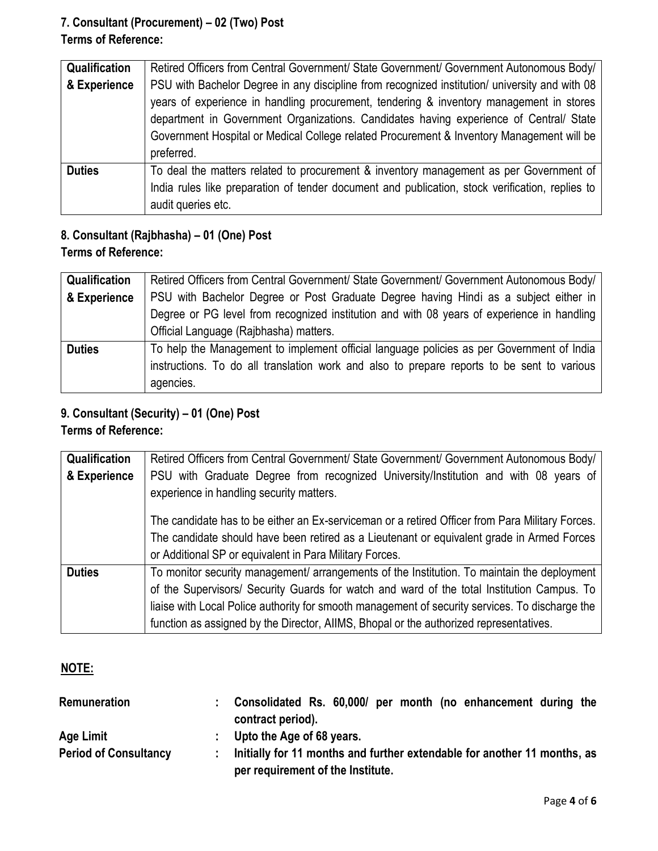#### **7. Consultant (Procurement) – 02 (Two) Post Terms of Reference:**

| <b>Qualification</b> | Retired Officers from Central Government/ State Government/ Government Autonomous Body/         |  |  |  |
|----------------------|-------------------------------------------------------------------------------------------------|--|--|--|
| & Experience         | PSU with Bachelor Degree in any discipline from recognized institution/ university and with 08  |  |  |  |
|                      | years of experience in handling procurement, tendering & inventory management in stores         |  |  |  |
|                      | department in Government Organizations. Candidates having experience of Central/ State          |  |  |  |
|                      | Government Hospital or Medical College related Procurement & Inventory Management will be       |  |  |  |
|                      | preferred.                                                                                      |  |  |  |
| <b>Duties</b>        | To deal the matters related to procurement & inventory management as per Government of          |  |  |  |
|                      | India rules like preparation of tender document and publication, stock verification, replies to |  |  |  |
|                      | audit queries etc.                                                                              |  |  |  |

#### **8. Consultant (Rajbhasha) – 01 (One) Post Terms of Reference:**

| Qualification | Retired Officers from Central Government/ State Government/ Government Autonomous Body/    |  |  |  |  |
|---------------|--------------------------------------------------------------------------------------------|--|--|--|--|
| & Experience  | PSU with Bachelor Degree or Post Graduate Degree having Hindi as a subject either in       |  |  |  |  |
|               | Degree or PG level from recognized institution and with 08 years of experience in handling |  |  |  |  |
|               | Official Language (Rajbhasha) matters.                                                     |  |  |  |  |
| <b>Duties</b> | To help the Management to implement official language policies as per Government of India  |  |  |  |  |
|               | instructions. To do all translation work and also to prepare reports to be sent to various |  |  |  |  |
|               | agencies.                                                                                  |  |  |  |  |

## **9. Consultant (Security) – 01 (One) Post**

### **Terms of Reference:**

| Qualification | Retired Officers from Central Government/ State Government/ Government Autonomous Body/                                                                                                                                                                                                                                                                                                |  |  |  |  |
|---------------|----------------------------------------------------------------------------------------------------------------------------------------------------------------------------------------------------------------------------------------------------------------------------------------------------------------------------------------------------------------------------------------|--|--|--|--|
| & Experience  | PSU with Graduate Degree from recognized University/Institution and with 08 years of<br>experience in handling security matters.                                                                                                                                                                                                                                                       |  |  |  |  |
|               | The candidate has to be either an Ex-serviceman or a retired Officer from Para Military Forces.<br>The candidate should have been retired as a Lieutenant or equivalent grade in Armed Forces<br>or Additional SP or equivalent in Para Military Forces.                                                                                                                               |  |  |  |  |
| <b>Duties</b> | To monitor security management/ arrangements of the Institution. To maintain the deployment<br>of the Supervisors/ Security Guards for watch and ward of the total Institution Campus. To<br>liaise with Local Police authority for smooth management of security services. To discharge the<br>function as assigned by the Director, AIIMS, Bhopal or the authorized representatives. |  |  |  |  |

#### **NOTE:**

| <b>Remuneration</b>          | Consolidated Rs. 60,000/ per month (no enhancement during the<br>contract period). |
|------------------------------|------------------------------------------------------------------------------------|
| Age Limit                    | Upto the Age of 68 years.                                                          |
| <b>Period of Consultancy</b> | Initially for 11 months and further extendable for another 11 months, as           |
|                              | per requirement of the Institute.                                                  |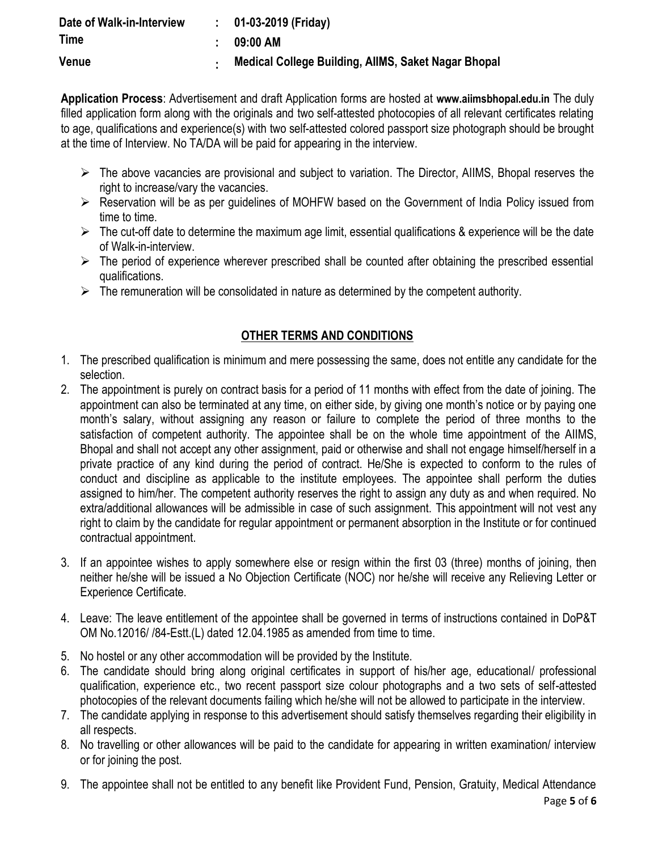| Date of Walk-in-Interview | $: 01-03-2019$ (Friday)                             |
|---------------------------|-----------------------------------------------------|
| <b>Time</b>               | 09:00 AM                                            |
| Venue                     | Medical College Building, AllMS, Saket Nagar Bhopal |

**Application Process**: Advertisement and draft Application forms are hosted at **[www.aiimsbhopal.edu.in](http://www.aiimsbhopal.edu.in/)** The duly filled application form along with the originals and two self-attested photocopies of all relevant certificates relating to age, qualifications and experience(s) with two self-attested colored passport size photograph should be brought at the time of Interview. No TA/DA will be paid for appearing in the interview.

- $\triangleright$  The above vacancies are provisional and subject to variation. The Director, AIIMS, Bhopal reserves the right to increase/vary the vacancies.
- Reservation will be as per guidelines of MOHFW based on the Government of India Policy issued from time to time.
- $\triangleright$  The cut-off date to determine the maximum age limit, essential qualifications & experience will be the date of Walk-in-interview.
- $\triangleright$  The period of experience wherever prescribed shall be counted after obtaining the prescribed essential qualifications.
- $\triangleright$  The remuneration will be consolidated in nature as determined by the competent authority.

#### **OTHER TERMS AND CONDITIONS**

- 1. The prescribed qualification is minimum and mere possessing the same, does not entitle any candidate for the selection.
- 2. The appointment is purely on contract basis for a period of 11 months with effect from the date of joining. The appointment can also be terminated at any time, on either side, by giving one month's notice or by paying one month's salary, without assigning any reason or failure to complete the period of three months to the satisfaction of competent authority. The appointee shall be on the whole time appointment of the AIIMS, Bhopal and shall not accept any other assignment, paid or otherwise and shall not engage himself/herself in a private practice of any kind during the period of contract. He/She is expected to conform to the rules of conduct and discipline as applicable to the institute employees. The appointee shall perform the duties assigned to him/her. The competent authority reserves the right to assign any duty as and when required. No extra/additional allowances will be admissible in case of such assignment. This appointment will not vest any right to claim by the candidate for regular appointment or permanent absorption in the Institute or for continued contractual appointment.
- 3. If an appointee wishes to apply somewhere else or resign within the first 03 (three) months of joining, then neither he/she will be issued a No Objection Certificate (NOC) nor he/she will receive any Relieving Letter or Experience Certificate.
- 4. Leave: The leave entitlement of the appointee shall be governed in terms of instructions contained in DoP&T OM No.12016/ /84-Estt.(L) dated 12.04.1985 as amended from time to time.
- 5. No hostel or any other accommodation will be provided by the Institute.
- 6. The candidate should bring along original certificates in support of his/her age, educational/ professional qualification, experience etc., two recent passport size colour photographs and a two sets of self-attested photocopies of the relevant documents failing which he/she will not be allowed to participate in the interview.
- 7. The candidate applying in response to this advertisement should satisfy themselves regarding their eligibility in all respects.
- 8. No travelling or other allowances will be paid to the candidate for appearing in written examination/ interview or for joining the post.
- 9. The appointee shall not be entitled to any benefit like Provident Fund, Pension, Gratuity, Medical Attendance